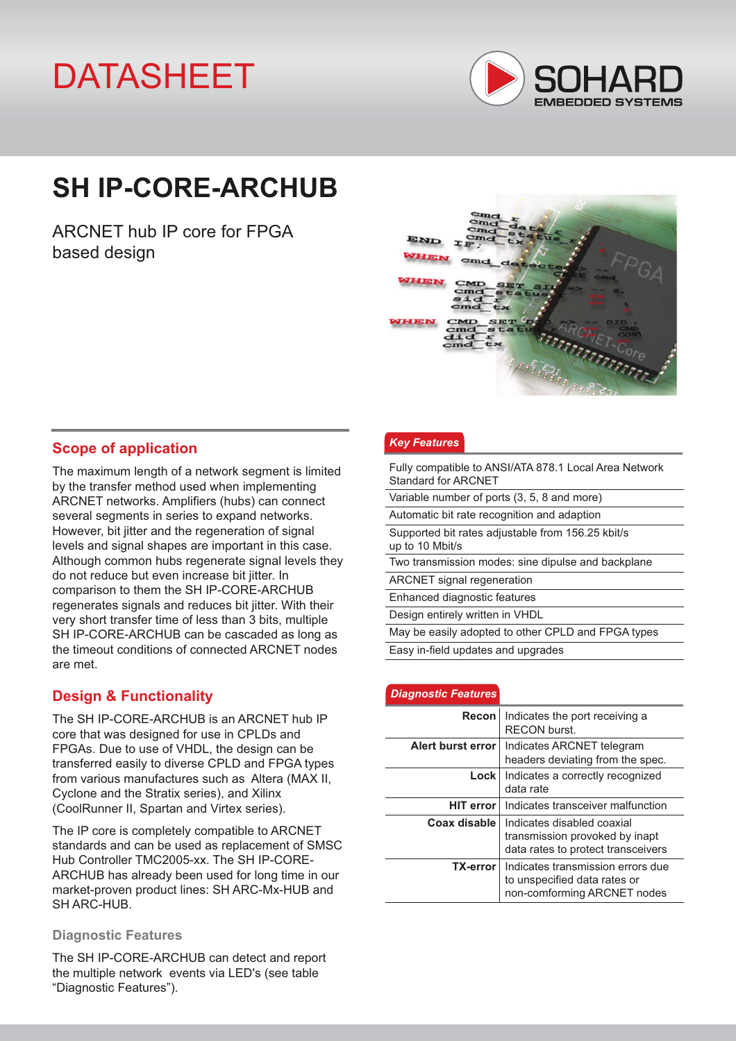# DATASHEET



# **SH IP-CORE-ARCHUB**

ARCNET hub IP core for FPGA based design



## **Scope of application**

The maximum length of a network segment is limited by the transfer method used when implementing ARCNET networks. Amplifiers (hubs) can connect several segments in series to expand networks. However, bit jitter and the regeneration of signal levels and signal shapes are important in this case. Although common hubs regenerate signal levels they do not reduce but even increase bit jitter. In comparison to them the SH IP-CORE-ARCHUB regenerates signals and reduces bit jitter. With their very short transfer time of less than 3 bits, multiple SH IP-CORE-ARCHUB can be cascaded as long as the timeout conditions of connected ARCNET nodes are met.

## **Design & Functionality**

The SH IP-CORE-ARCHUB is an ARCNET hub IP core that was designed for use in CPLDs and FPGAs. Due to use of VHDL, the design can be transferred easily to diverse CPLD and FPGA types from various manufactures such as Altera (MAX II, Cyclone and the Stratix series), and Xilinx (CoolRunner II, Spartan and Virtex series).

The IP core is completely compatible to ARCNET standards and can be used as replacement of SMSC Hub Controller TMC2005-xx. The SH IP-CORE-ARCHUB has already been used for long time in our market-proven product lines: SH ARC-Mx-HUB and SH ARC-HUB.

#### **Diagnostic Features**

The SH IP-CORE-ARCHUB can detect and report the multiple network events via LED's (see table "Diagnostic Features").

#### *Key Features*

| Fully compatible to ANSI/ATA 878.1 Local Area Network<br>Standard for ARCNET |
|------------------------------------------------------------------------------|
| Variable number of ports (3, 5, 8 and more)                                  |
| Automatic bit rate recognition and adaption                                  |
| Supported bit rates adjustable from 156.25 kbit/s<br>up to 10 Mbit/s         |
| Two transmission modes: sine dipulse and backplane                           |
| <b>ARCNET</b> signal regeneration                                            |
| Enhanced diagnostic features                                                 |
| Design entirely written in VHDL                                              |
| May be easily adopted to other CPLD and FPGA types                           |
| Easy in-field updates and upgrades                                           |

#### *Diagnostic Features*

| Recon             | Indicates the port receiving a<br>RECON burst.                                                     |  |  |
|-------------------|----------------------------------------------------------------------------------------------------|--|--|
| Alert burst error | Indicates ARCNET telegram<br>headers deviating from the spec.                                      |  |  |
| <b>Lock</b>       | Indicates a correctly recognized<br>data rate                                                      |  |  |
| <b>HIT error</b>  | Indicates transceiver malfunction                                                                  |  |  |
| Coax disable      | Indicates disabled coaxial<br>transmission provoked by inapt<br>data rates to protect transceivers |  |  |
| TX-error          | Indicates transmission errors due<br>to unspecified data rates or<br>non-comforming ARCNET nodes   |  |  |